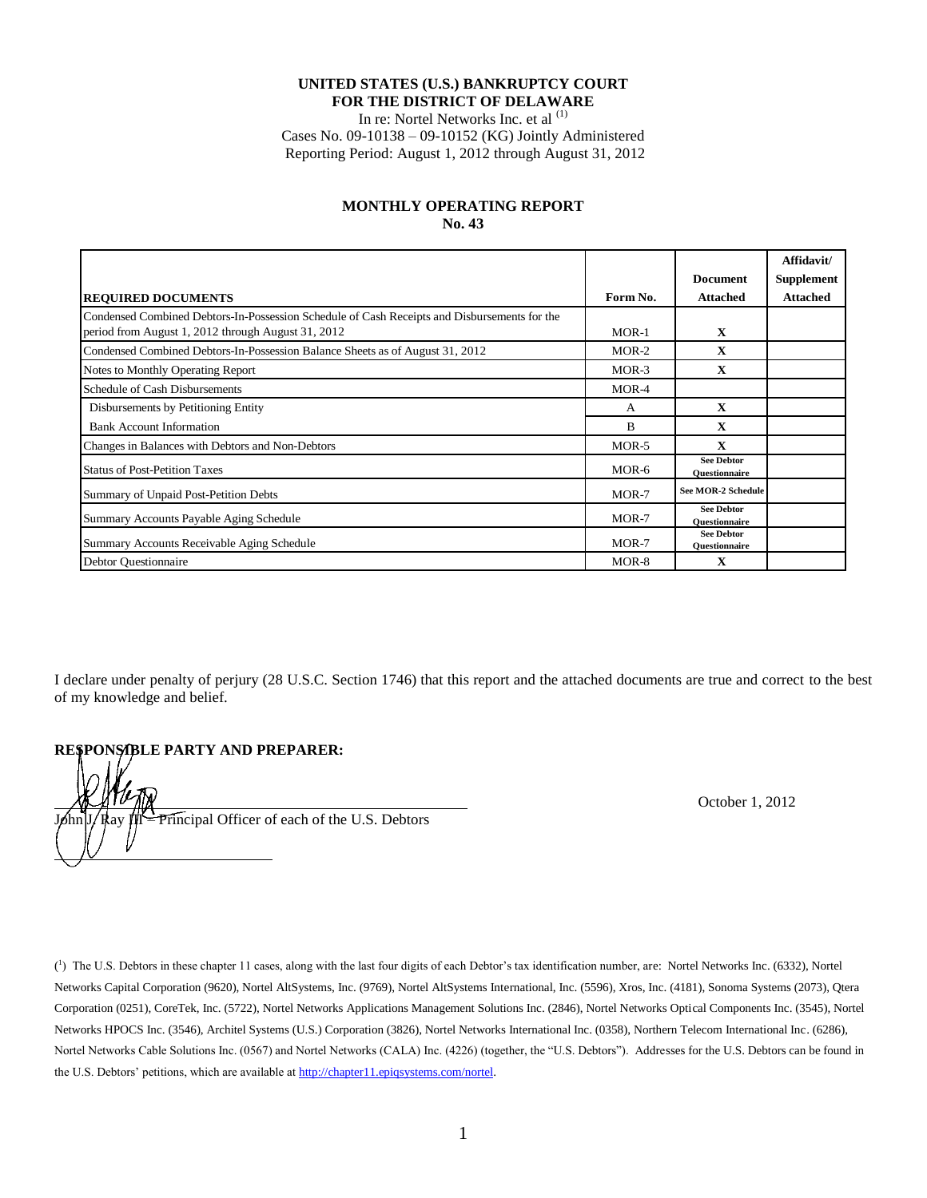#### **UNITED STATES (U.S.) BANKRUPTCY COURT FOR THE DISTRICT OF DELAWARE**

In re: Nortel Networks Inc. et al <sup>(1)</sup>

Cases No. 09-10138 – 09-10152 (KG) Jointly Administered Reporting Period: August 1, 2012 through August 31, 2012

#### **MONTHLY OPERATING REPORT No. 43**

|                                                                                                                                                    |              |                                           | Affidavit/        |
|----------------------------------------------------------------------------------------------------------------------------------------------------|--------------|-------------------------------------------|-------------------|
|                                                                                                                                                    |              | <b>Document</b>                           | <b>Supplement</b> |
| <b>REQUIRED DOCUMENTS</b>                                                                                                                          | Form No.     | <b>Attached</b>                           | <b>Attached</b>   |
| Condensed Combined Debtors-In-Possession Schedule of Cash Receipts and Disbursements for the<br>period from August 1, 2012 through August 31, 2012 | $MOR-1$      | $\mathbf X$                               |                   |
| Condensed Combined Debtors-In-Possession Balance Sheets as of August 31, 2012                                                                      | $MOR-2$      | $\mathbf X$                               |                   |
| Notes to Monthly Operating Report                                                                                                                  | $MOR-3$      | $\mathbf X$                               |                   |
| Schedule of Cash Disbursements                                                                                                                     | MOR-4        |                                           |                   |
| Disbursements by Petitioning Entity                                                                                                                | A            | $\mathbf{x}$                              |                   |
| <b>Bank Account Information</b>                                                                                                                    | <sub>B</sub> | $\mathbf X$                               |                   |
| Changes in Balances with Debtors and Non-Debtors                                                                                                   | MOR-5        | $\mathbf X$                               |                   |
| <b>Status of Post-Petition Taxes</b>                                                                                                               | MOR-6        | <b>See Debtor</b><br><b>Ouestionnaire</b> |                   |
| Summary of Unpaid Post-Petition Debts                                                                                                              | MOR-7        | <b>See MOR-2 Schedule</b>                 |                   |
| Summary Accounts Payable Aging Schedule                                                                                                            | $MOR-7$      | <b>See Debtor</b><br><b>Ouestionnaire</b> |                   |
| Summary Accounts Receivable Aging Schedule                                                                                                         | MOR-7        | <b>See Debtor</b><br><b>Ouestionnaire</b> |                   |
| <b>Debtor Questionnaire</b>                                                                                                                        | MOR-8        | $\mathbf X$                               |                   |

I declare under penalty of perjury (28 U.S.C. Section 1746) that this report and the attached documents are true and correct to the best of my knowledge and belief.

# **RESPONSIBLE PARTY AND PREPARER:**

 $\overline{a}$ 

Principal Officer of each of the U.S. Debtors

October 1, 2012

 $\binom{1}{1}$  The U.S. Debtors in these chapter 11 cases, along with the last four digits of each Debtor's tax identification number, are: Nortel Networks Inc. (6332), Nortel Networks Capital Corporation (9620), Nortel AltSystems, Inc. (9769), Nortel AltSystems International, Inc. (5596), Xros, Inc. (4181), Sonoma Systems (2073), Qtera Corporation (0251), CoreTek, Inc. (5722), Nortel Networks Applications Management Solutions Inc. (2846), Nortel Networks Optical Components Inc. (3545), Nortel Networks HPOCS Inc. (3546), Architel Systems (U.S.) Corporation (3826), Nortel Networks International Inc. (0358), Northern Telecom International Inc. (6286), Nortel Networks Cable Solutions Inc. (0567) and Nortel Networks (CALA) Inc. (4226) (together, the "U.S. Debtors"). Addresses for the U.S. Debtors can be found in the U.S. Debtors' petitions, which are available a[t http://chapter11.epiqsystems.com/nortel.](http://chapter11.epiqsystems.com/nortel)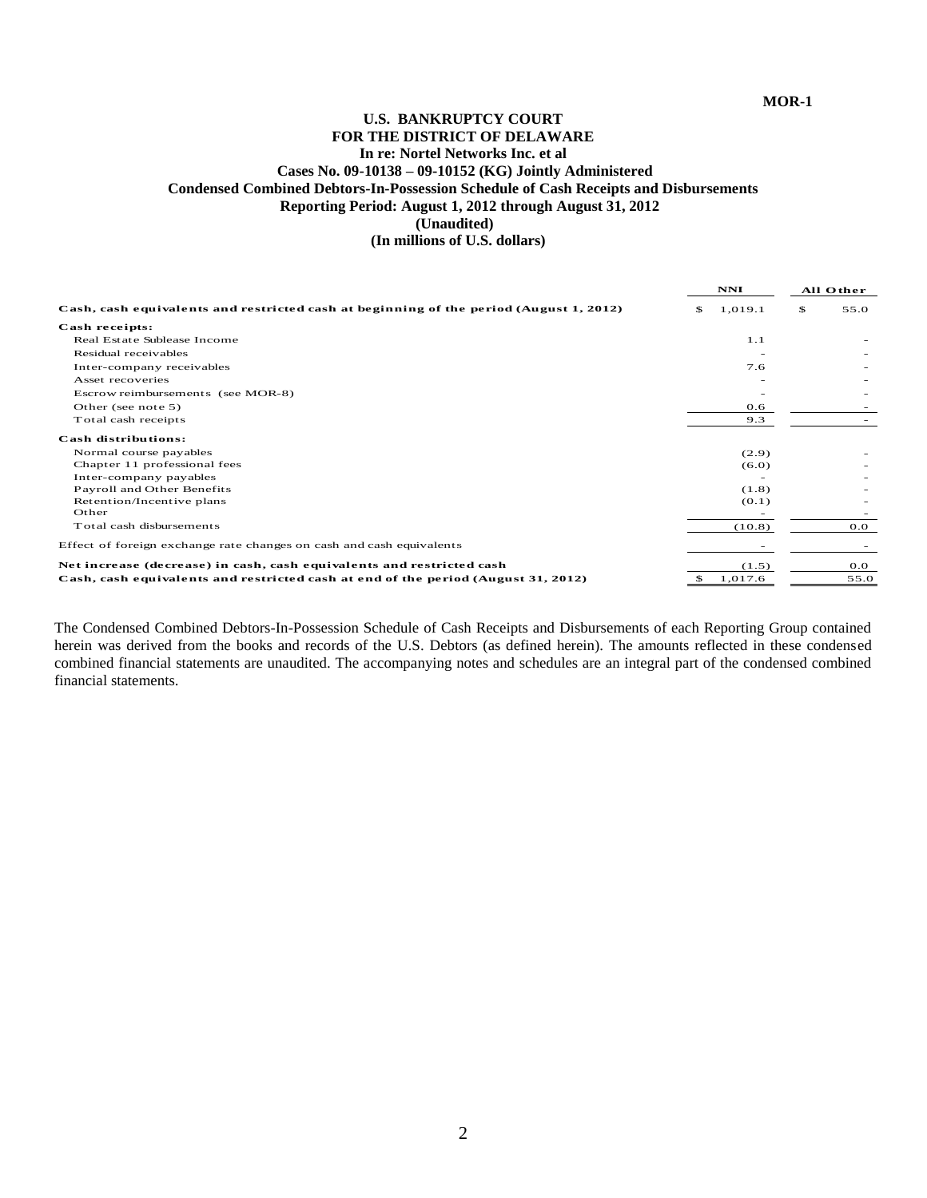### **U.S. BANKRUPTCY COURT FOR THE DISTRICT OF DELAWARE In re: Nortel Networks Inc. et al Cases No. 09-10138 – 09-10152 (KG) Jointly Administered Condensed Combined Debtors-In-Possession Schedule of Cash Receipts and Disbursements Reporting Period: August 1, 2012 through August 31, 2012 (Unaudited) (In millions of U.S. dollars)**

| (Unaudited)<br>(In millions of U.S. dollars)                                           |               |            |  |
|----------------------------------------------------------------------------------------|---------------|------------|--|
|                                                                                        | NNI           | All Other  |  |
| Cash, cash equivalents and restricted cash at beginning of the period (August 1, 2012) | 1,019.1<br>\$ | \$<br>55.0 |  |
| Cash receipts:                                                                         |               |            |  |
| Real Estate Sublease Income                                                            | 1.1           |            |  |
| Residual receivables                                                                   |               |            |  |
| Inter-company receivables                                                              | 7.6           |            |  |
| Asset recoveries                                                                       |               |            |  |
| Escrow reimbursements (see MOR-8)                                                      |               |            |  |
| Other (see note 5)                                                                     | 0.6           |            |  |
| Total cash receipts                                                                    | 9.3           |            |  |
| Cash distributions:                                                                    |               |            |  |
| Normal course payables                                                                 | (2.9)         |            |  |
| Chapter 11 professional fees                                                           | (6.0)         |            |  |
| Inter-company payables                                                                 |               |            |  |
| Payroll and Other Benefits                                                             | (1.8)         |            |  |
| Retention/Incentive plans                                                              | (0.1)         |            |  |
| Other                                                                                  |               |            |  |
| Total cash disbursements                                                               | (10.8)        | 0.0        |  |
| Effect of foreign exchange rate changes on cash and cash equivalents                   |               |            |  |
| Net increase (decrease) in cash, cash equivalents and restricted cash                  | (1.5)         | 0.0        |  |
| Cash, cash equivalents and restricted cash at end of the period (August 31, 2012)      | 1,017.6<br>\$ | 55.0       |  |

The Condensed Combined Debtors-In-Possession Schedule of Cash Receipts and Disbursements of each Reporting Group contained herein was derived from the books and records of the U.S. Debtors (as defined herein). The amounts reflected in these condensed combined financial statements are unaudited. The accompanying notes and schedules are an integral part of the condensed combined financial statements.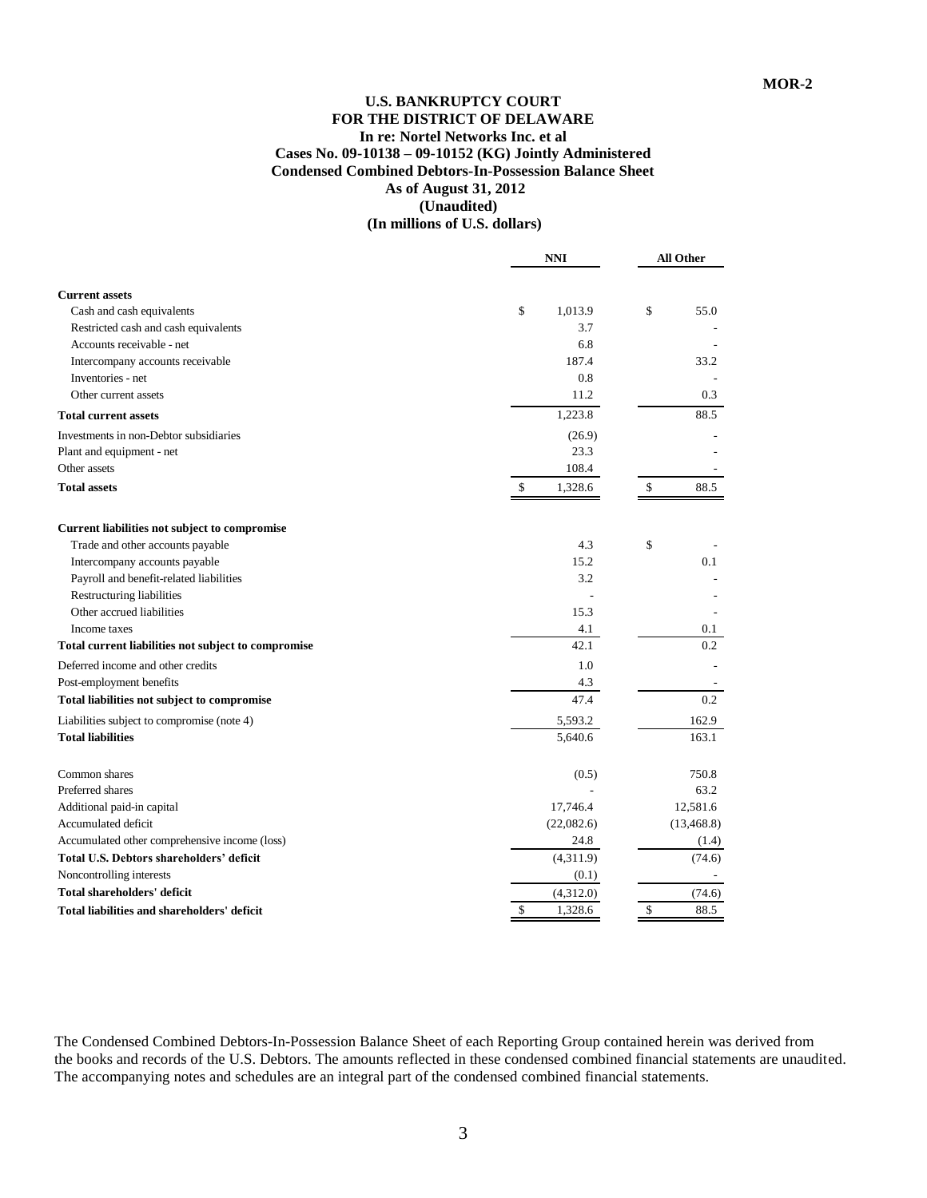### **U.S. BANKRUPTCY COURT FOR THE DISTRICT OF DELAWARE In re: Nortel Networks Inc. et al Cases No. 09-10138 – 09-10152 (KG) Jointly Administered Condensed Combined Debtors-In-Possession Balance Sheet As of August 31, 2012 (Unaudited) (In millions of U.S. dollars)**

|                                                                   | <b>NNI</b>    | <b>All Other</b> |  |
|-------------------------------------------------------------------|---------------|------------------|--|
|                                                                   |               |                  |  |
| <b>Current assets</b>                                             |               |                  |  |
| Cash and cash equivalents                                         | \$<br>1,013.9 | \$<br>55.0       |  |
| Restricted cash and cash equivalents<br>Accounts receivable - net | 3.7<br>6.8    |                  |  |
| Intercompany accounts receivable                                  | 187.4         | 33.2             |  |
| Inventories - net                                                 | 0.8           |                  |  |
| Other current assets                                              | 11.2          | 0.3              |  |
|                                                                   |               |                  |  |
| <b>Total current assets</b>                                       | 1,223.8       | 88.5             |  |
| Investments in non-Debtor subsidiaries                            | (26.9)        |                  |  |
| Plant and equipment - net                                         | 23.3          |                  |  |
| Other assets                                                      | 108.4         |                  |  |
| <b>Total assets</b>                                               | 1,328.6<br>\$ | \$<br>88.5       |  |
| Current liabilities not subject to compromise                     |               |                  |  |
| Trade and other accounts payable                                  | 4.3           | \$               |  |
| Intercompany accounts payable                                     | 15.2          | 0.1              |  |
| Payroll and benefit-related liabilities                           | 3.2           |                  |  |
| Restructuring liabilities                                         |               |                  |  |
| Other accrued liabilities                                         | 15.3          |                  |  |
| Income taxes                                                      | 4.1           | 0.1              |  |
| Total current liabilities not subject to compromise               | 42.1          | 0.2              |  |
| Deferred income and other credits                                 | 1.0           |                  |  |
| Post-employment benefits                                          | 4.3           |                  |  |
| Total liabilities not subject to compromise                       | 47.4          | 0.2              |  |
| Liabilities subject to compromise (note 4)                        | 5,593.2       | 162.9            |  |
| <b>Total liabilities</b>                                          | 5,640.6       | 163.1            |  |
| Common shares                                                     | (0.5)         | 750.8            |  |
| Preferred shares                                                  |               | 63.2             |  |
| Additional paid-in capital                                        | 17,746.4      | 12,581.6         |  |
| Accumulated deficit                                               | (22,082.6)    | (13, 468.8)      |  |
| Accumulated other comprehensive income (loss)                     | 24.8          | (1.4)            |  |
| Total U.S. Debtors shareholders' deficit                          | (4,311.9)     | (74.6)           |  |
| Noncontrolling interests                                          | (0.1)         |                  |  |
| Total shareholders' deficit                                       | (4,312.0)     | (74.6)           |  |
| Total liabilities and shareholders' deficit                       | \$<br>1,328.6 | \$<br>88.5       |  |

The Condensed Combined Debtors-In-Possession Balance Sheet of each Reporting Group contained herein was derived from the books and records of the U.S. Debtors. The amounts reflected in these condensed combined financial statements are unaudited. The accompanying notes and schedules are an integral part of the condensed combined financial statements.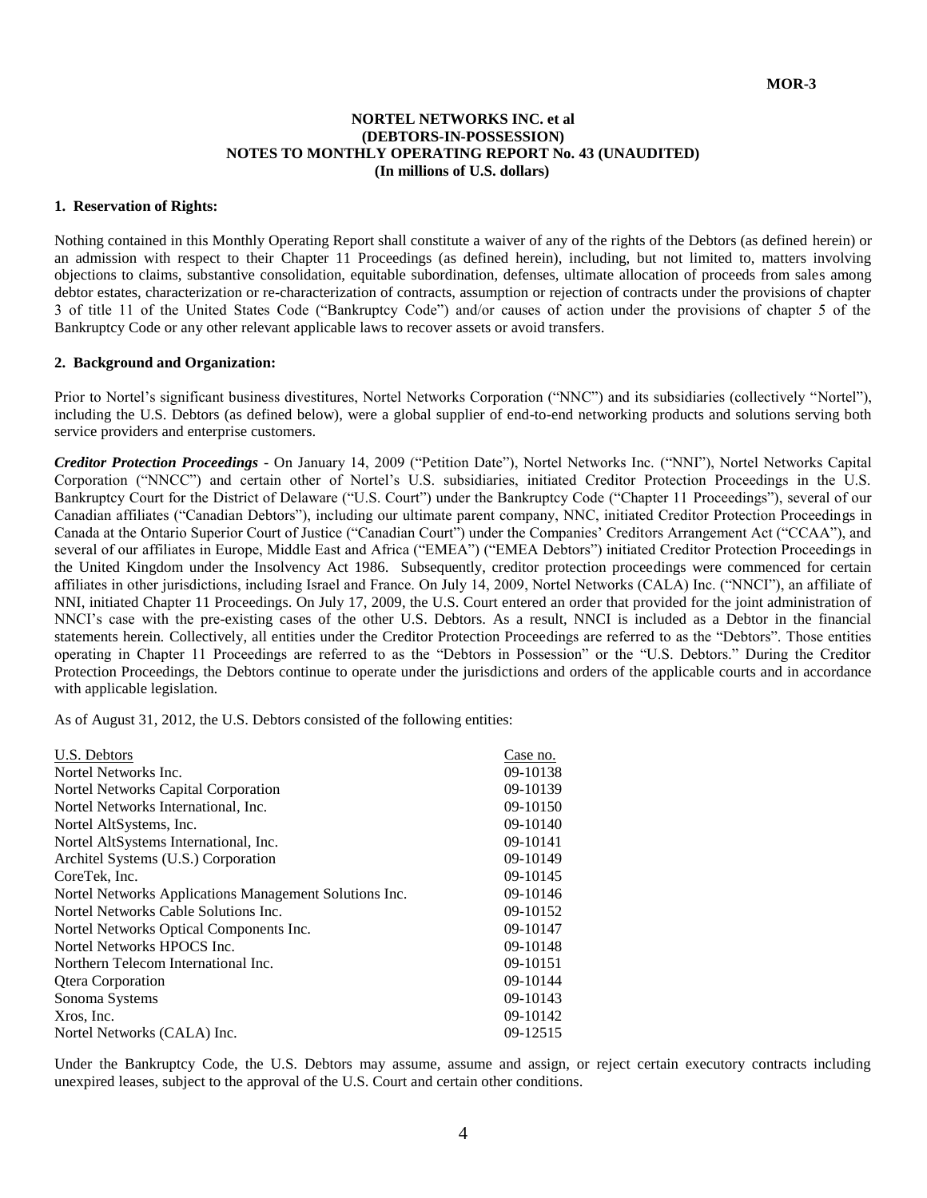#### **NORTEL NETWORKS INC. et al (DEBTORS-IN-POSSESSION) NOTES TO MONTHLY OPERATING REPORT No. 43 (UNAUDITED) (In millions of U.S. dollars)**

#### **1. Reservation of Rights:**

Nothing contained in this Monthly Operating Report shall constitute a waiver of any of the rights of the Debtors (as defined herein) or an admission with respect to their Chapter 11 Proceedings (as defined herein), including, but not limited to, matters involving objections to claims, substantive consolidation, equitable subordination, defenses, ultimate allocation of proceeds from sales among debtor estates, characterization or re-characterization of contracts, assumption or rejection of contracts under the provisions of chapter 3 of title 11 of the United States Code ("Bankruptcy Code") and/or causes of action under the provisions of chapter 5 of the Bankruptcy Code or any other relevant applicable laws to recover assets or avoid transfers.

#### **2. Background and Organization:**

Prior to Nortel's significant business divestitures, Nortel Networks Corporation ("NNC") and its subsidiaries (collectively "Nortel"), including the U.S. Debtors (as defined below), were a global supplier of end-to-end networking products and solutions serving both service providers and enterprise customers.

*Creditor Protection Proceedings* - On January 14, 2009 ("Petition Date"), Nortel Networks Inc. ("NNI"), Nortel Networks Capital Corporation ("NNCC") and certain other of Nortel's U.S. subsidiaries, initiated Creditor Protection Proceedings in the U.S. Bankruptcy Court for the District of Delaware ("U.S. Court") under the Bankruptcy Code ("Chapter 11 Proceedings"), several of our Canadian affiliates ("Canadian Debtors"), including our ultimate parent company, NNC, initiated Creditor Protection Proceedings in Canada at the Ontario Superior Court of Justice ("Canadian Court") under the Companies' Creditors Arrangement Act ("CCAA"), and several of our affiliates in Europe, Middle East and Africa ("EMEA") ("EMEA Debtors") initiated Creditor Protection Proceedings in the United Kingdom under the Insolvency Act 1986. Subsequently, creditor protection proceedings were commenced for certain affiliates in other jurisdictions, including Israel and France. On July 14, 2009, Nortel Networks (CALA) Inc. ("NNCI"), an affiliate of NNI, initiated Chapter 11 Proceedings. On July 17, 2009, the U.S. Court entered an order that provided for the joint administration of NNCI's case with the pre-existing cases of the other U.S. Debtors. As a result, NNCI is included as a Debtor in the financial statements herein*.* Collectively, all entities under the Creditor Protection Proceedings are referred to as the "Debtors". Those entities operating in Chapter 11 Proceedings are referred to as the "Debtors in Possession" or the "U.S. Debtors." During the Creditor Protection Proceedings, the Debtors continue to operate under the jurisdictions and orders of the applicable courts and in accordance with applicable legislation.

As of August 31, 2012, the U.S. Debtors consisted of the following entities:

| U.S. Debtors                                           | Case no. |
|--------------------------------------------------------|----------|
| Nortel Networks Inc.                                   | 09-10138 |
| Nortel Networks Capital Corporation                    | 09-10139 |
| Nortel Networks International, Inc.                    | 09-10150 |
| Nortel AltSystems, Inc.                                | 09-10140 |
| Nortel AltSystems International, Inc.                  | 09-10141 |
| Architel Systems (U.S.) Corporation                    | 09-10149 |
| CoreTek, Inc.                                          | 09-10145 |
| Nortel Networks Applications Management Solutions Inc. | 09-10146 |
| Nortel Networks Cable Solutions Inc.                   | 09-10152 |
| Nortel Networks Optical Components Inc.                | 09-10147 |
| Nortel Networks HPOCS Inc.                             | 09-10148 |
| Northern Telecom International Inc.                    | 09-10151 |
| <b>Qtera Corporation</b>                               | 09-10144 |
| Sonoma Systems                                         | 09-10143 |
| Xros, Inc.                                             | 09-10142 |
| Nortel Networks (CALA) Inc.                            | 09-12515 |
|                                                        |          |

Under the Bankruptcy Code, the U.S. Debtors may assume, assume and assign, or reject certain executory contracts including unexpired leases, subject to the approval of the U.S. Court and certain other conditions.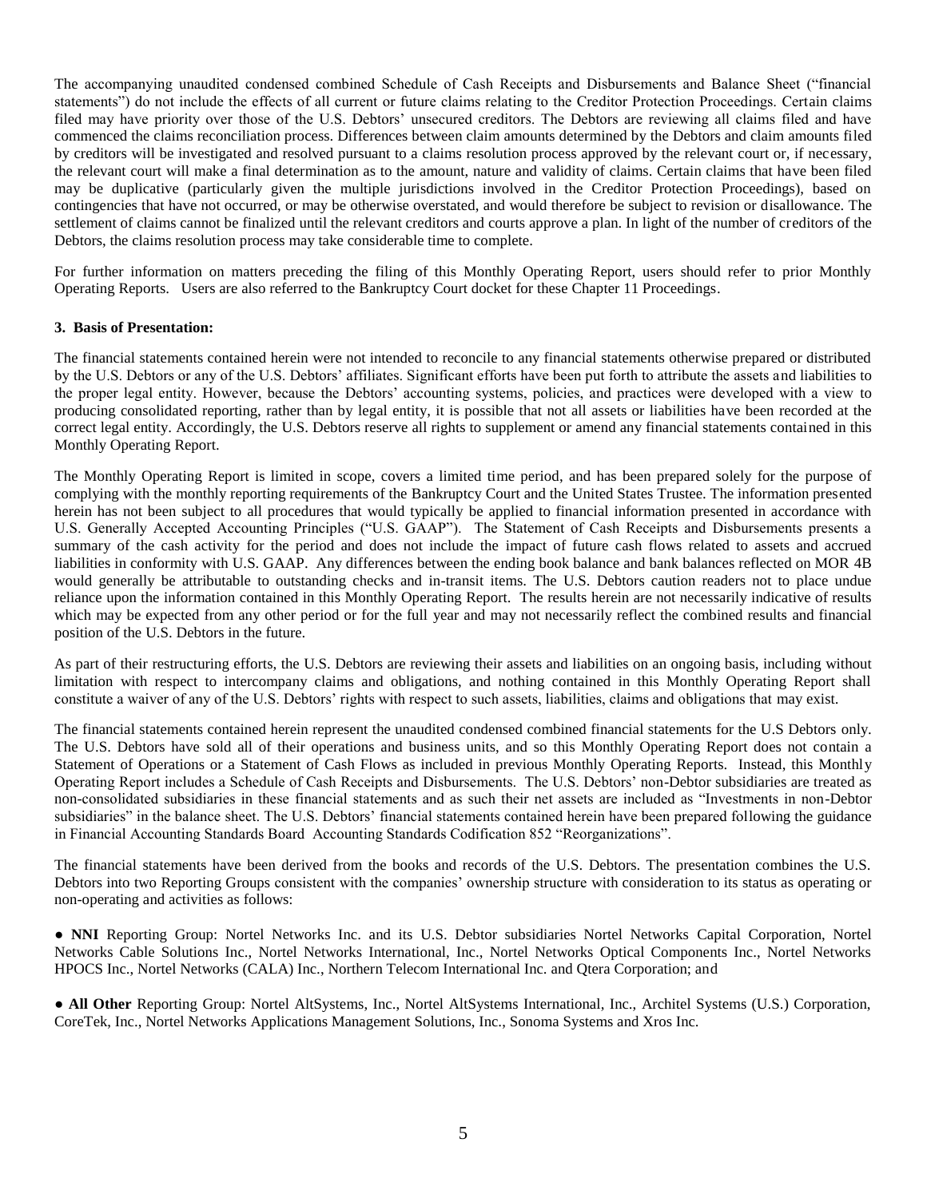The accompanying unaudited condensed combined Schedule of Cash Receipts and Disbursements and Balance Sheet ("financial statements") do not include the effects of all current or future claims relating to the Creditor Protection Proceedings. Certain claims filed may have priority over those of the U.S. Debtors' unsecured creditors. The Debtors are reviewing all claims filed and have commenced the claims reconciliation process. Differences between claim amounts determined by the Debtors and claim amounts filed by creditors will be investigated and resolved pursuant to a claims resolution process approved by the relevant court or, if necessary, the relevant court will make a final determination as to the amount, nature and validity of claims. Certain claims that have been filed may be duplicative (particularly given the multiple jurisdictions involved in the Creditor Protection Proceedings), based on contingencies that have not occurred, or may be otherwise overstated, and would therefore be subject to revision or disallowance. The settlement of claims cannot be finalized until the relevant creditors and courts approve a plan. In light of the number of creditors of the Debtors, the claims resolution process may take considerable time to complete.

For further information on matters preceding the filing of this Monthly Operating Report, users should refer to prior Monthly Operating Reports. Users are also referred to the Bankruptcy Court docket for these Chapter 11 Proceedings.

#### **3. Basis of Presentation:**

The financial statements contained herein were not intended to reconcile to any financial statements otherwise prepared or distributed by the U.S. Debtors or any of the U.S. Debtors' affiliates. Significant efforts have been put forth to attribute the assets and liabilities to the proper legal entity. However, because the Debtors' accounting systems, policies, and practices were developed with a view to producing consolidated reporting, rather than by legal entity, it is possible that not all assets or liabilities have been recorded at the correct legal entity. Accordingly, the U.S. Debtors reserve all rights to supplement or amend any financial statements contained in this Monthly Operating Report.

The Monthly Operating Report is limited in scope, covers a limited time period, and has been prepared solely for the purpose of complying with the monthly reporting requirements of the Bankruptcy Court and the United States Trustee. The information presented herein has not been subject to all procedures that would typically be applied to financial information presented in accordance with U.S. Generally Accepted Accounting Principles ("U.S. GAAP"). The Statement of Cash Receipts and Disbursements presents a summary of the cash activity for the period and does not include the impact of future cash flows related to assets and accrued liabilities in conformity with U.S. GAAP. Any differences between the ending book balance and bank balances reflected on MOR 4B would generally be attributable to outstanding checks and in-transit items. The U.S. Debtors caution readers not to place undue reliance upon the information contained in this Monthly Operating Report. The results herein are not necessarily indicative of results which may be expected from any other period or for the full year and may not necessarily reflect the combined results and financial position of the U.S. Debtors in the future.

As part of their restructuring efforts, the U.S. Debtors are reviewing their assets and liabilities on an ongoing basis, including without limitation with respect to intercompany claims and obligations, and nothing contained in this Monthly Operating Report shall constitute a waiver of any of the U.S. Debtors' rights with respect to such assets, liabilities, claims and obligations that may exist.

The financial statements contained herein represent the unaudited condensed combined financial statements for the U.S Debtors only. The U.S. Debtors have sold all of their operations and business units, and so this Monthly Operating Report does not contain a Statement of Operations or a Statement of Cash Flows as included in previous Monthly Operating Reports. Instead, this Monthly Operating Report includes a Schedule of Cash Receipts and Disbursements. The U.S. Debtors' non-Debtor subsidiaries are treated as non-consolidated subsidiaries in these financial statements and as such their net assets are included as "Investments in non-Debtor subsidiaries" in the balance sheet. The U.S. Debtors' financial statements contained herein have been prepared following the guidance in Financial Accounting Standards Board Accounting Standards Codification 852 "Reorganizations".

The financial statements have been derived from the books and records of the U.S. Debtors. The presentation combines the U.S. Debtors into two Reporting Groups consistent with the companies' ownership structure with consideration to its status as operating or non-operating and activities as follows:

● **NNI** Reporting Group: Nortel Networks Inc. and its U.S. Debtor subsidiaries Nortel Networks Capital Corporation, Nortel Networks Cable Solutions Inc., Nortel Networks International, Inc., Nortel Networks Optical Components Inc., Nortel Networks HPOCS Inc., Nortel Networks (CALA) Inc., Northern Telecom International Inc. and Qtera Corporation; and

● **All Other** Reporting Group: Nortel AltSystems, Inc., Nortel AltSystems International, Inc., Architel Systems (U.S.) Corporation, CoreTek, Inc., Nortel Networks Applications Management Solutions, Inc., Sonoma Systems and Xros Inc.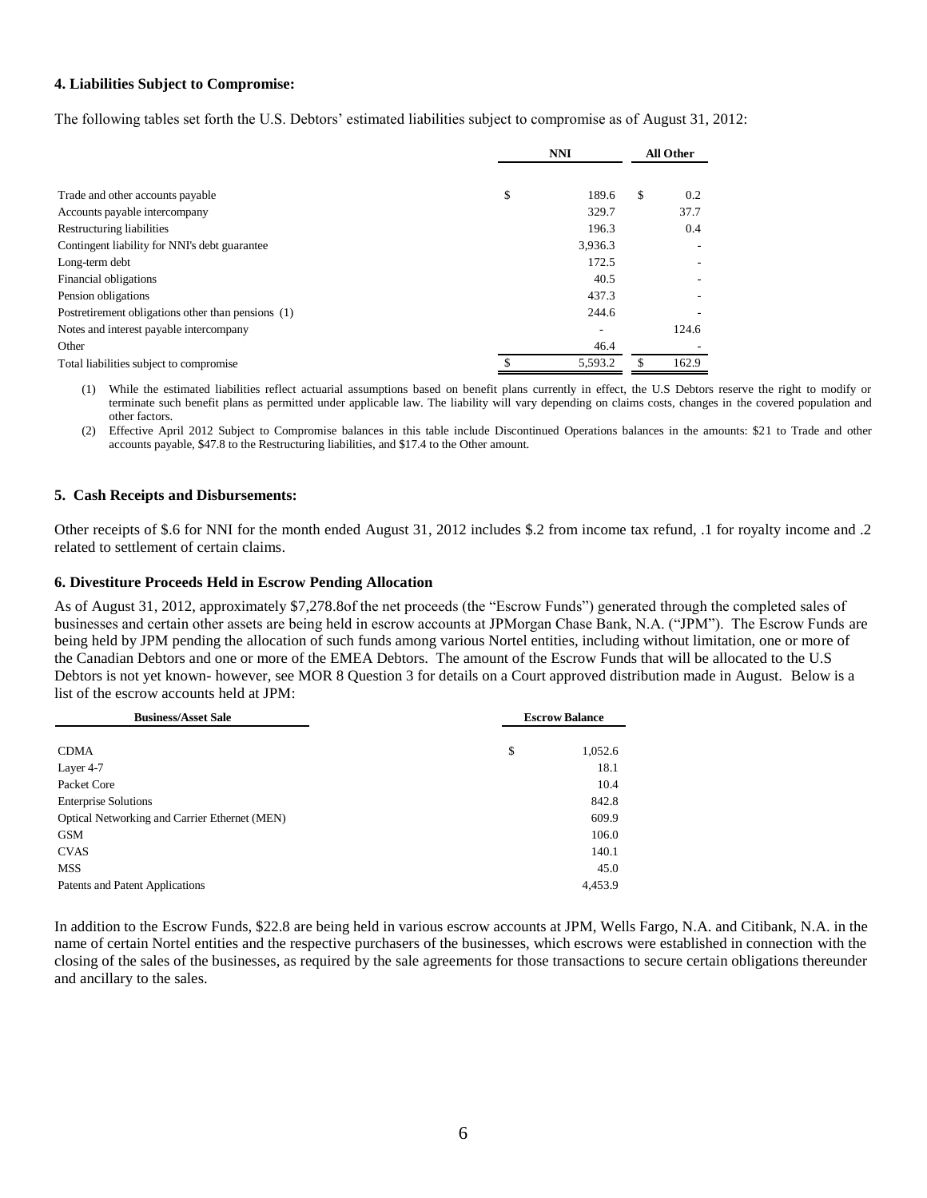### **4. Liabilities Subject to Compromise:**

The following tables set forth the U.S. Debtors' estimated liabilities subject to compromise as of August 31, 2012:

|                                                    | <b>NNI</b>  |    | <b>All Other</b> |  |
|----------------------------------------------------|-------------|----|------------------|--|
| Trade and other accounts payable                   | \$<br>189.6 | \$ | 0.2              |  |
| Accounts payable intercompany                      | 329.7       |    | 37.7             |  |
| Restructuring liabilities                          | 196.3       |    | 0.4              |  |
| Contingent liability for NNI's debt guarantee      | 3,936.3     |    |                  |  |
| Long-term debt                                     | 172.5       |    |                  |  |
| Financial obligations                              | 40.5        |    |                  |  |
| Pension obligations                                | 437.3       |    |                  |  |
| Postretirement obligations other than pensions (1) | 244.6       |    |                  |  |
| Notes and interest payable intercompany            |             |    | 124.6            |  |
| Other                                              | 46.4        |    |                  |  |
| Total liabilities subject to compromise            | 5.593.2     | \$ | 162.9            |  |

(1) While the estimated liabilities reflect actuarial assumptions based on benefit plans currently in effect, the U.S Debtors reserve the right to modify or terminate such benefit plans as permitted under applicable law. The liability will vary depending on claims costs, changes in the covered population and other factors.

(2) Effective April 2012 Subject to Compromise balances in this table include Discontinued Operations balances in the amounts: \$21 to Trade and other accounts payable, \$47.8 to the Restructuring liabilities, and \$17.4 to the Other amount.

#### **5. Cash Receipts and Disbursements:**

Other receipts of \$.6 for NNI for the month ended August 31, 2012 includes \$.2 from income tax refund, .1 for royalty income and .2 related to settlement of certain claims.

#### **6. Divestiture Proceeds Held in Escrow Pending Allocation**

As of August 31, 2012, approximately \$7,278.8of the net proceeds (the "Escrow Funds") generated through the completed sales of businesses and certain other assets are being held in escrow accounts at JPMorgan Chase Bank, N.A. ("JPM"). The Escrow Funds are being held by JPM pending the allocation of such funds among various Nortel entities, including without limitation, one or more of the Canadian Debtors and one or more of the EMEA Debtors. The amount of the Escrow Funds that will be allocated to the U.S Debtors is not yet known- however, see MOR 8 Question 3 for details on a Court approved distribution made in August. Below is a list of the escrow accounts held at JPM:

| <b>Business/Asset Sale</b>                    | <b>Escrow Balance</b> |         |
|-----------------------------------------------|-----------------------|---------|
|                                               |                       |         |
| <b>CDMA</b>                                   | \$                    | 1,052.6 |
| Layer 4-7                                     |                       | 18.1    |
| Packet Core                                   |                       | 10.4    |
| <b>Enterprise Solutions</b>                   |                       | 842.8   |
| Optical Networking and Carrier Ethernet (MEN) |                       | 609.9   |
| <b>GSM</b>                                    |                       | 106.0   |
| <b>CVAS</b>                                   |                       | 140.1   |
| MSS                                           |                       | 45.0    |
| Patents and Patent Applications               |                       | 4,453.9 |

In addition to the Escrow Funds, \$22.8 are being held in various escrow accounts at JPM, Wells Fargo, N.A. and Citibank, N.A. in the name of certain Nortel entities and the respective purchasers of the businesses, which escrows were established in connection with the closing of the sales of the businesses, as required by the sale agreements for those transactions to secure certain obligations thereunder and ancillary to the sales.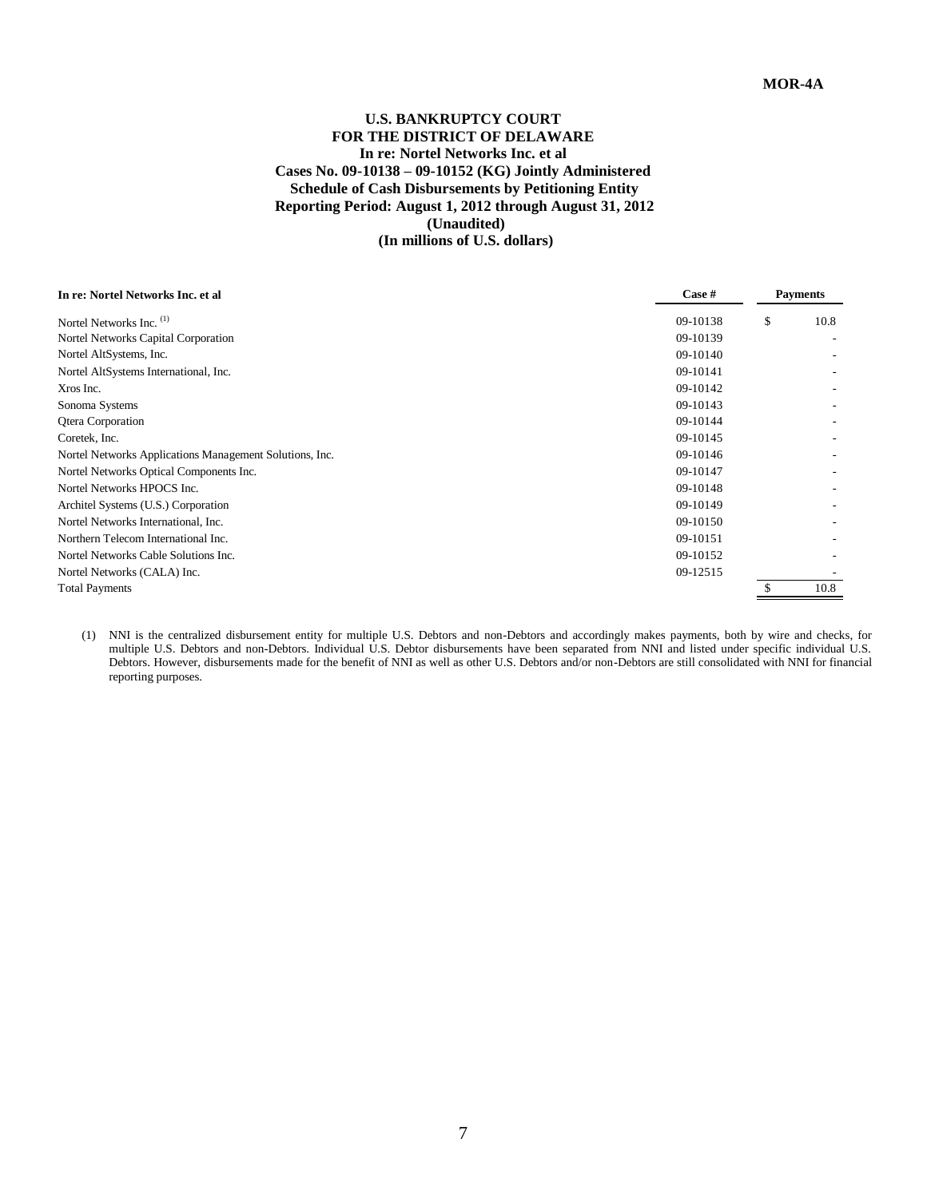### **U.S. BANKRUPTCY COURT FOR THE DISTRICT OF DELAWARE In re: Nortel Networks Inc. et al Cases No. 09-10138 – 09-10152 (KG) Jointly Administered Schedule of Cash Disbursements by Petitioning Entity Reporting Period: August 1, 2012 through August 31, 2012 (Unaudited) (In millions of U.S. dollars)**

# **In re: Nortel Networks Inc. et al Case # Payments** Nortel Networks Inc. (1) 09-10138 \$ 10.8 Nortel Networks Capital Corporation 09-10139 - Nortel AltSystems, Inc. 09-10140 - Nortel AltSystems International, Inc. 09-10141 -  $X$ ros Inc.  $09-10142$ Sonoma Systems 09-10143 Qtera Corporation 09-10144 - 09-10144 - 09-10144 - 09-10144 - 09-10144 - 09-10144 - 09-10144 - 09-10144 - 09-10144 - 09-10144 - 09-10144 - 09-10144 - 09-10144 - 09-10144 - 09-10144 - 09-10144 - 09-10144 - 09-10144 - 09-101 Coretek, Inc. 09-10145 - 09-10145 Nortel Networks Applications Management Solutions, Inc. 09-10146 - Nortel Networks Optical Components Inc. 09-10147 - Nortel Networks HPOCS Inc. 09-10148 - Architel Systems (U.S.) Corporation 09-10149 Nortel Networks International, Inc. 69-10150 - 09-10150 - 09-10150 - 09-10150 - 09-10150 - 09-10150 - 09-10150 Northern Telecom International Inc. 09-10151 Nortel Networks Cable Solutions Inc. 09-10152 Nortel Networks (CALA) Inc. 09-12515 - Total Payments \$ 10.8

(1) NNI is the centralized disbursement entity for multiple U.S. Debtors and non-Debtors and accordingly makes payments, both by wire and checks, for multiple U.S. Debtors and non-Debtors. Individual U.S. Debtor disbursements have been separated from NNI and listed under specific individual U.S. Debtors. However, disbursements made for the benefit of NNI as well as other U.S. Debtors and/or non-Debtors are still consolidated with NNI for financial reporting purposes.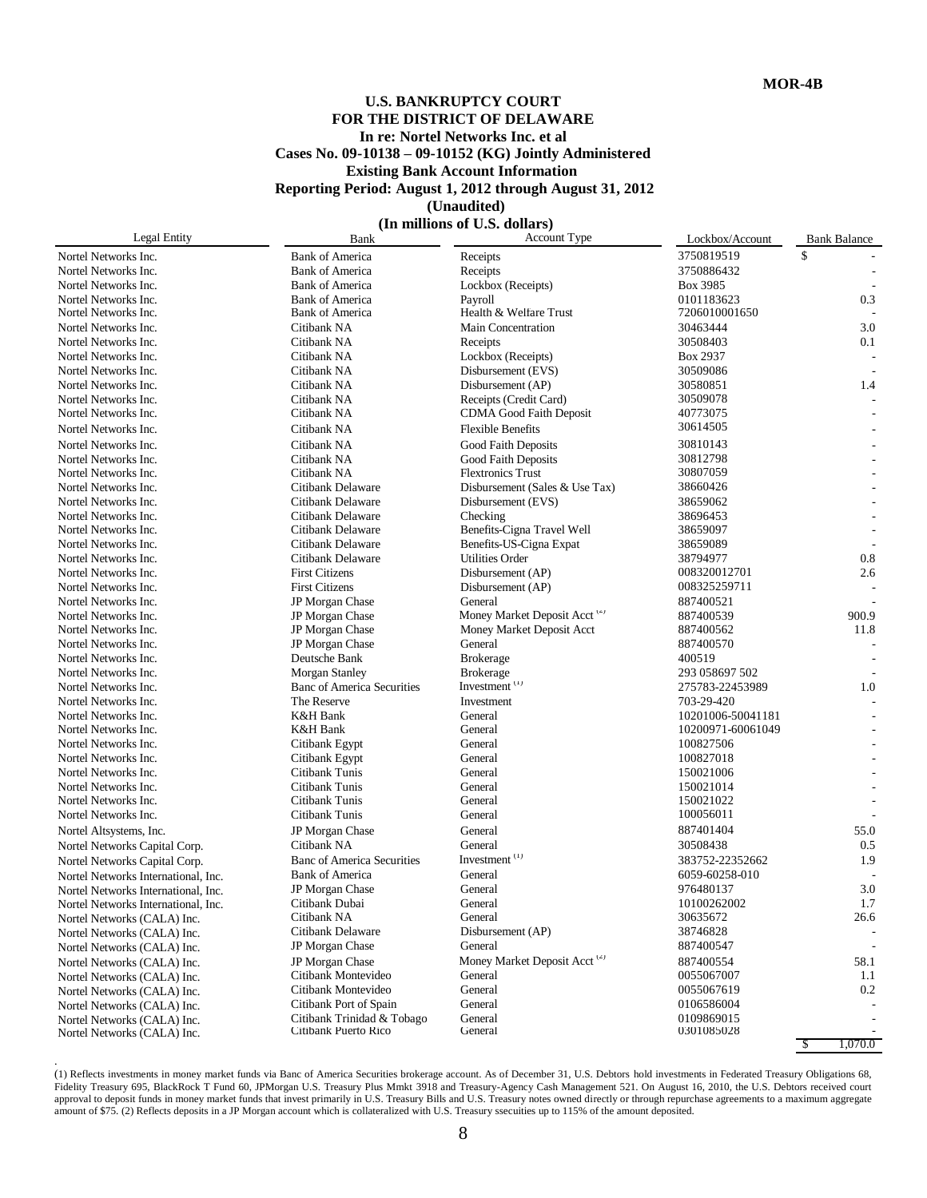### **U.S. BANKRUPTCY COURT FOR THE DISTRICT OF DELAWARE In re: Nortel Networks Inc. et al Cases No. 09-10138 – 09-10152 (KG) Jointly Administered Existing Bank Account Information Reporting Period: August 1, 2012 through August 31, 2012 (Unaudited)**

**(In millions of U.S. dollars)**<br>Bank Account Type

| Legal Entity                        | Bank                              | Account Type                             | Lockbox/Account   | <b>Bank Balance</b> |
|-------------------------------------|-----------------------------------|------------------------------------------|-------------------|---------------------|
| Nortel Networks Inc.                | <b>Bank of America</b>            | Receipts                                 | 3750819519        | \$                  |
| Nortel Networks Inc.                | <b>Bank of America</b>            | Receipts                                 | 3750886432        |                     |
| Nortel Networks Inc.                | <b>Bank of America</b>            | Lockbox (Receipts)                       | Box 3985          |                     |
| Nortel Networks Inc.                | <b>Bank of America</b>            | Payroll                                  | 0101183623        | 0.3                 |
| Nortel Networks Inc.                | <b>Bank of America</b>            | Health & Welfare Trust                   | 7206010001650     |                     |
| Nortel Networks Inc.                | Citibank NA                       | <b>Main Concentration</b>                | 30463444          | 3.0                 |
| Nortel Networks Inc.                | Citibank NA                       | Receipts                                 | 30508403          | 0.1                 |
| Nortel Networks Inc.                | Citibank NA                       | Lockbox (Receipts)                       | Box 2937          |                     |
| Nortel Networks Inc.                | Citibank NA                       | Disbursement (EVS)                       | 30509086          |                     |
| Nortel Networks Inc.                | Citibank NA                       | Disbursement (AP)                        | 30580851          | 1.4                 |
| Nortel Networks Inc.                | Citibank NA                       | Receipts (Credit Card)                   | 30509078          |                     |
| Nortel Networks Inc.                | Citibank NA                       | CDMA Good Faith Deposit                  | 40773075          |                     |
| Nortel Networks Inc.                | Citibank NA                       | <b>Flexible Benefits</b>                 | 30614505          |                     |
| Nortel Networks Inc.                | Citibank NA                       | Good Faith Deposits                      | 30810143          |                     |
| Nortel Networks Inc.                | Citibank NA                       | Good Faith Deposits                      | 30812798          |                     |
| Nortel Networks Inc.                | Citibank NA                       | <b>Flextronics Trust</b>                 | 30807059          |                     |
| Nortel Networks Inc.                | Citibank Delaware                 | Disbursement (Sales & Use Tax)           | 38660426          |                     |
| Nortel Networks Inc.                | Citibank Delaware                 | Disbursement (EVS)                       | 38659062          |                     |
| Nortel Networks Inc.                | Citibank Delaware                 | Checking                                 | 38696453          |                     |
| Nortel Networks Inc.                | Citibank Delaware                 | Benefits-Cigna Travel Well               | 38659097          |                     |
| Nortel Networks Inc.                | Citibank Delaware                 | Benefits-US-Cigna Expat                  | 38659089          |                     |
| Nortel Networks Inc.                | Citibank Delaware                 | <b>Utilities Order</b>                   | 38794977          | 0.8                 |
| Nortel Networks Inc.                | <b>First Citizens</b>             | Disbursement (AP)                        | 008320012701      | 2.6                 |
| Nortel Networks Inc.                | <b>First Citizens</b>             | Disbursement (AP)                        | 008325259711      |                     |
| Nortel Networks Inc.                | JP Morgan Chase                   | General                                  | 887400521         |                     |
| Nortel Networks Inc.                | JP Morgan Chase                   | Money Market Deposit Acct (2)            | 887400539         | 900.9               |
| Nortel Networks Inc.                | JP Morgan Chase                   | Money Market Deposit Acct                | 887400562         | 11.8                |
| Nortel Networks Inc.                | JP Morgan Chase                   | General                                  | 887400570         |                     |
| Nortel Networks Inc.                | Deutsche Bank                     | <b>Brokerage</b>                         | 400519            |                     |
| Nortel Networks Inc.                | Morgan Stanley                    | <b>Brokerage</b>                         | 293 058697 502    |                     |
| Nortel Networks Inc.                | <b>Banc of America Securities</b> | Investment <sup>(1)</sup>                | 275783-22453989   | 1.0                 |
| Nortel Networks Inc.                | The Reserve                       | Investment                               | 703-29-420        |                     |
| Nortel Networks Inc.                | K&H Bank                          | General                                  | 10201006-50041181 |                     |
| Nortel Networks Inc.                | K&H Bank                          | General                                  | 10200971-60061049 |                     |
| Nortel Networks Inc.                | Citibank Egypt                    | General                                  | 100827506         |                     |
| Nortel Networks Inc.                | Citibank Egypt                    | General                                  | 100827018         |                     |
| Nortel Networks Inc.                | Citibank Tunis                    | General                                  | 150021006         |                     |
| Nortel Networks Inc.                | Citibank Tunis                    | General                                  | 150021014         |                     |
| Nortel Networks Inc.                | Citibank Tunis                    | General                                  | 150021022         |                     |
| Nortel Networks Inc.                | Citibank Tunis                    | General                                  | 100056011         |                     |
| Nortel Altsystems, Inc.             | JP Morgan Chase                   | General                                  | 887401404         | 55.0                |
| Nortel Networks Capital Corp.       | Citibank NA                       | General                                  | 30508438          | 0.5                 |
| Nortel Networks Capital Corp.       | <b>Banc of America Securities</b> | Investment $(1)$                         | 383752-22352662   | 1.9                 |
| Nortel Networks International, Inc. | <b>Bank of America</b>            | General                                  | 6059-60258-010    |                     |
| Nortel Networks International, Inc. | JP Morgan Chase                   | General                                  | 976480137         | 3.0                 |
| Nortel Networks International, Inc. | Citibank Dubai                    | General                                  | 10100262002       | 1.7                 |
| Nortel Networks (CALA) Inc.         | Citibank NA                       | General                                  | 30635672          | 26.6                |
| Nortel Networks (CALA) Inc.         | Citibank Delaware                 | Disbursement (AP)                        | 38746828          |                     |
| Nortel Networks (CALA) Inc.         | JP Morgan Chase                   | General                                  | 887400547         |                     |
| Nortel Networks (CALA) Inc.         | JP Morgan Chase                   | Money Market Deposit Acct <sup>(2)</sup> | 887400554         | 58.1                |
| Nortel Networks (CALA) Inc.         | Citibank Montevideo               | General                                  | 0055067007        | 1.1                 |
| Nortel Networks (CALA) Inc.         | Citibank Montevideo               | General                                  | 0055067619        | 0.2                 |
| Nortel Networks (CALA) Inc.         | Citibank Port of Spain            | General                                  | 0106586004        |                     |
| Nortel Networks (CALA) Inc.         | Citibank Trinidad & Tobago        | General                                  | 0109869015        |                     |
| Nortel Networks (CALA) Inc.         | Citibank Puerto Rico              | General                                  | 0301085028        |                     |
|                                     |                                   |                                          |                   | 75<br>1.070.0       |

(1) Reflects investments in money market funds via Banc of America Securities brokerage account. As of December 31, U.S. Debtors hold investments in Federated Treasury Obligations 68, Fidelity Treasury 695, BlackRock T Fund 60, JPMorgan U.S. Treasury Plus Mmkt 3918 and Treasury-Agency Cash Management 521. On August 16, 2010, the U.S. Debtors received court approval to deposit funds in money market funds that invest primarily in U.S. Treasury Bills and U.S. Treasury notes owned directly or through repurchase agreements to a maximum aggregate amount of \$75. (2) Reflects deposits in a JP Morgan account which is collateralized with U.S. Treasury ssecuities up to 115% of the amount deposited.

.

8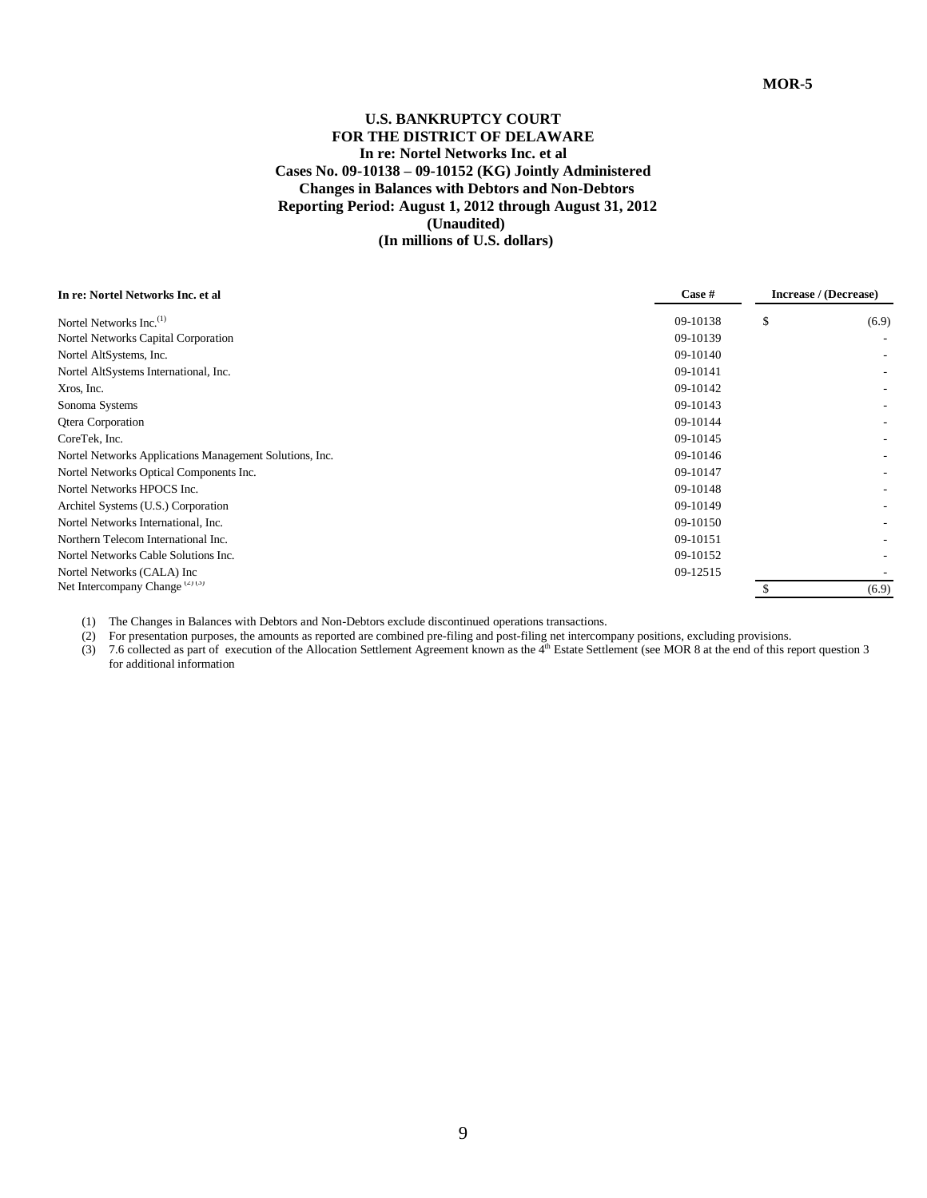### **U.S. BANKRUPTCY COURT FOR THE DISTRICT OF DELAWARE In re: Nortel Networks Inc. et al Cases No. 09-10138 – 09-10152 (KG) Jointly Administered Changes in Balances with Debtors and Non-Debtors Reporting Period: August 1, 2012 through August 31, 2012 (Unaudited) (In millions of U.S. dollars)**

| In re: Nortel Networks Inc. et al                       | Case #   | Increase / (Decrease) |
|---------------------------------------------------------|----------|-----------------------|
| Nortel Networks Inc. <sup>(1)</sup>                     | 09-10138 | \$<br>(6.9)           |
| Nortel Networks Capital Corporation                     | 09-10139 |                       |
| Nortel AltSystems, Inc.                                 | 09-10140 |                       |
| Nortel AltSystems International, Inc.                   | 09-10141 |                       |
| Xros, Inc.                                              | 09-10142 |                       |
| Sonoma Systems                                          | 09-10143 |                       |
| <b>Qtera Corporation</b>                                | 09-10144 |                       |
| CoreTek, Inc.                                           | 09-10145 |                       |
| Nortel Networks Applications Management Solutions, Inc. | 09-10146 |                       |
| Nortel Networks Optical Components Inc.                 | 09-10147 |                       |
| Nortel Networks HPOCS Inc.                              | 09-10148 |                       |
| Architel Systems (U.S.) Corporation                     | 09-10149 |                       |
| Nortel Networks International, Inc.                     | 09-10150 |                       |
| Northern Telecom International Inc.                     | 09-10151 |                       |
| Nortel Networks Cable Solutions Inc.                    | 09-10152 |                       |
| Nortel Networks (CALA) Inc                              | 09-12515 |                       |
| Net Intercompany Change (2)(3)                          |          | (6.9)                 |
|                                                         |          |                       |

(1) The Changes in Balances with Debtors and Non-Debtors exclude discontinued operations transactions.

(2) For presentation purposes, the amounts as reported are combined pre-filing and post-filing net intercompany positions, excluding provisions.

(3) 7.6 collected as part of execution of the Allocation Settlement Agreement known as the  $4<sup>th</sup>$  Estate Settlement (see MOR 8 at the end of this report question 3 for additional information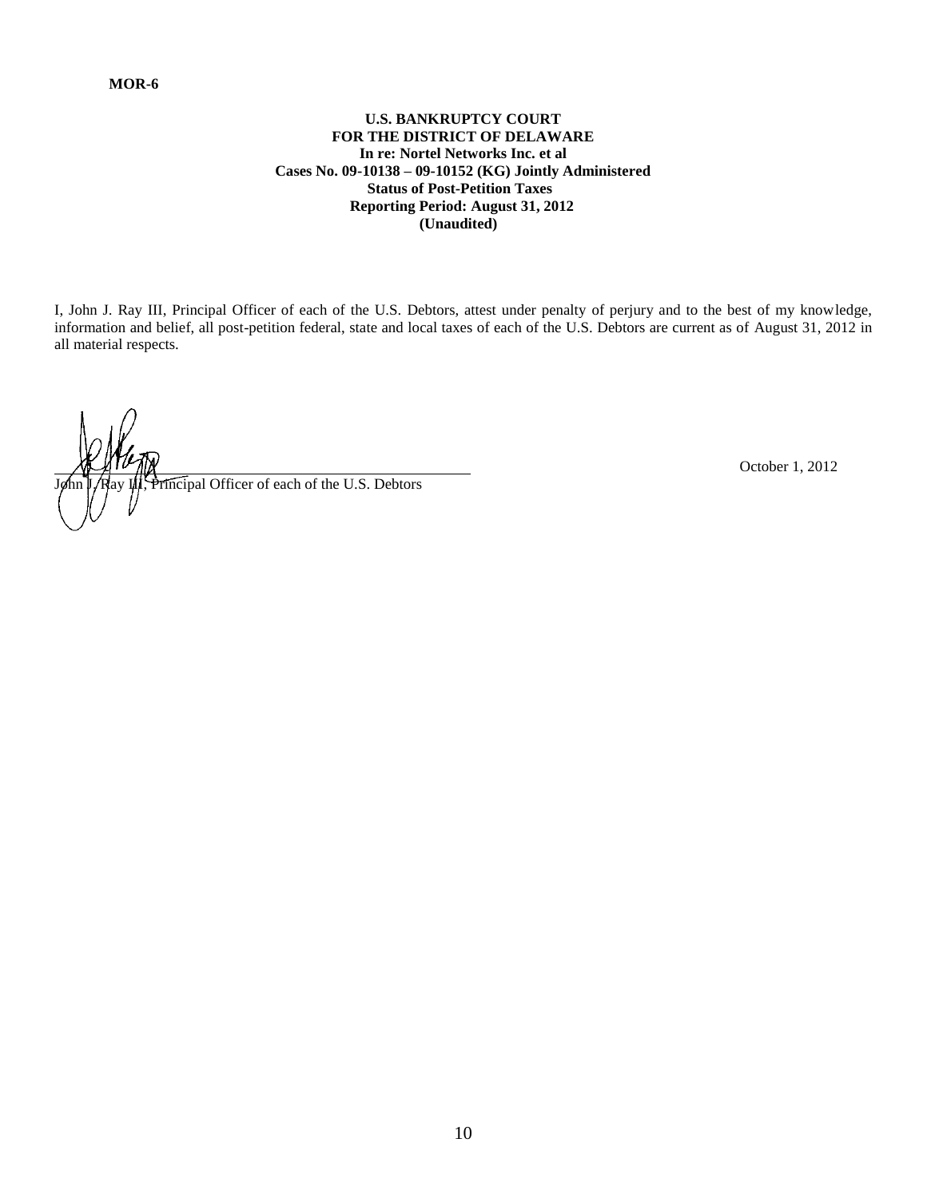# **U.S. BANKRUPTCY COURT FOR THE DISTRICT OF DELAWARE In re: Nortel Networks Inc. et al Cases No. 09-10138 – 09-10152 (KG) Jointly Administered Status of Post-Petition Taxes Reporting Period: August 31, 2012 (Unaudited)**

I, John J. Ray III, Principal Officer of each of the U.S. Debtors, attest under penalty of perjury and to the best of my knowledge, information and belief, all post-petition federal, state and local taxes of each of the U.S. Debtors are current as of August 31, 2012 in all material respects.

Tincipal Officer of each of the U.S. Debtors

October 1, 2012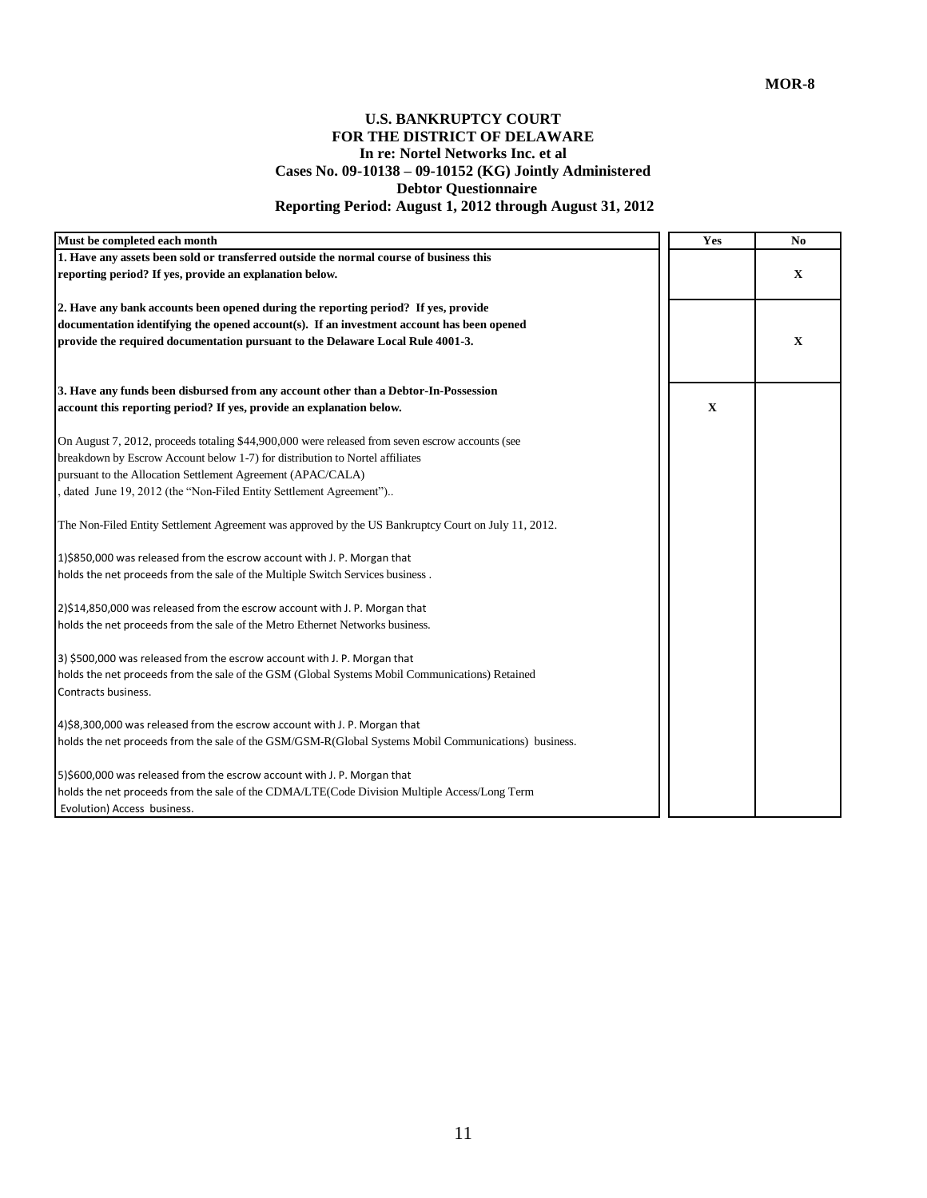# **U.S. BANKRUPTCY COURT FOR THE DISTRICT OF DELAWARE In re: Nortel Networks Inc. et al Cases No. 09-10138 – 09-10152 (KG) Jointly Administered Debtor Questionnaire Reporting Period: August 1, 2012 through August 31, 2012**

| Must be completed each month                                                                         | Yes         | No          |
|------------------------------------------------------------------------------------------------------|-------------|-------------|
| 1. Have any assets been sold or transferred outside the normal course of business this               |             |             |
| reporting period? If yes, provide an explanation below.                                              |             | $\mathbf X$ |
| 2. Have any bank accounts been opened during the reporting period? If yes, provide                   |             |             |
| documentation identifying the opened account(s). If an investment account has been opened            |             |             |
| provide the required documentation pursuant to the Delaware Local Rule 4001-3.                       |             | $\mathbf X$ |
| 3. Have any funds been disbursed from any account other than a Debtor-In-Possession                  |             |             |
| account this reporting period? If yes, provide an explanation below.                                 | $\mathbf X$ |             |
| On August 7, 2012, proceeds totaling \$44,900,000 were released from seven escrow accounts (see      |             |             |
| breakdown by Escrow Account below 1-7) for distribution to Nortel affiliates                         |             |             |
| pursuant to the Allocation Settlement Agreement (APAC/CALA)                                          |             |             |
| dated June 19, 2012 (the "Non-Filed Entity Settlement Agreement")                                    |             |             |
| The Non-Filed Entity Settlement Agreement was approved by the US Bankruptcy Court on July 11, 2012.  |             |             |
| 1)\$850,000 was released from the escrow account with J. P. Morgan that                              |             |             |
| holds the net proceeds from the sale of the Multiple Switch Services business.                       |             |             |
| 2)\$14,850,000 was released from the escrow account with J. P. Morgan that                           |             |             |
| holds the net proceeds from the sale of the Metro Ethernet Networks business.                        |             |             |
| 3) \$500,000 was released from the escrow account with J. P. Morgan that                             |             |             |
| holds the net proceeds from the sale of the GSM (Global Systems Mobil Communications) Retained       |             |             |
| Contracts business.                                                                                  |             |             |
| 4)\$8,300,000 was released from the escrow account with J. P. Morgan that                            |             |             |
| holds the net proceeds from the sale of the GSM/GSM-R(Global Systems Mobil Communications) business. |             |             |
| 5)\$600,000 was released from the escrow account with J. P. Morgan that                              |             |             |
| holds the net proceeds from the sale of the CDMA/LTE(Code Division Multiple Access/Long Term         |             |             |
| Evolution) Access business.                                                                          |             |             |